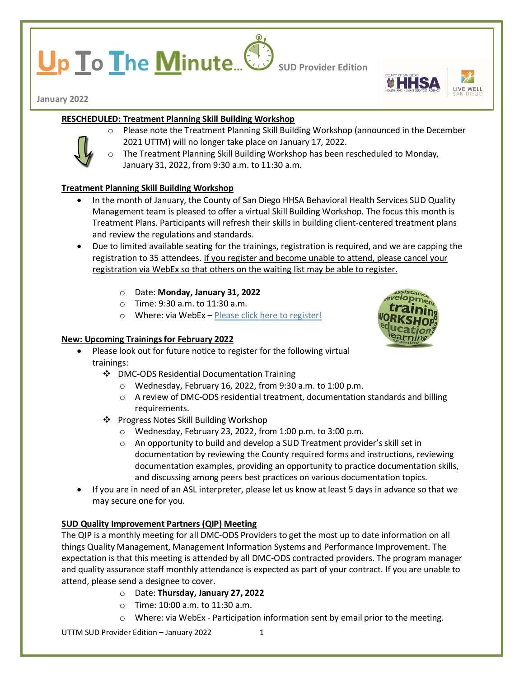# **p lo I**he **Minute**... **Sup Provider Edition**





**January 2022**

# **RESCHEDULED: Treatment Planning Skill Building Workshop**



- o Please note the Treatment Planning Skill Building Workshop (announced in the December 2021 UTTM) will no longer take place on January 17, 2022.
- The Treatment Planning Skill Building Workshop has been rescheduled to Monday, January 31, 2022, from 9:30 a.m. to 11:30 a.m.

# **Treatment Planning Skill Building Workshop**

- In the month of January, the County of San Diego HHSA Behavioral Health Services SUD Quality Management team is pleased to offer a virtual Skill Building Workshop. The focus this month is Treatment Plans. Participants will refresh their skills in building client-centered treatment plans and review the regulations and standards.
- Due to limited available seating for the trainings, registration is required, and we are capping the registration to 35 attendees. If you register and become unable to attend, please cancel your registration via WebEx so that others on the waiting list may be able to register.
	- o Date: **Monday, January 31, 2022**
	- o Time: 9:30 a.m. to 11:30 a.m.
	- o Where: via WebEx [Please click here to register!](https://sdcountyca.webex.com/mw3300/mywebex/default.do?service=7&nomenu=true&main_url=%2Ftc3300%2Ftrainingcenter%2FLoading.do%3Fsiteurl%3Dsdcountyca%26UID%3D-99999999%26RT%3DMiM0%26siteurl%3Dsdcountyca%26apiname%3Dj.php%26MTID%3Dt4b44efd61d0205fdaa284ec58da89a8a%26FM%3D1%26rnd%3D8049265486%26servicename%3DTC%26ED%3D1523915852%26needFilter%3Dfalse&siteurl=sdcountyca)

# **New: Upcoming Trainings for February 2022**



- Please look out for future notice to register for the following virtual trainings:
	- DMC-ODS Residential Documentation Training
		- o Wednesday, February 16, 2022, from 9:30 a.m. to 1:00 p.m.
		- $\circ$  A review of DMC-ODS residential treatment, documentation standards and billing requirements.
	- ❖ Progress Notes Skill Building Workshop
		- o Wednesday, February 23, 2022, from 1:00 p.m. to 3:00 p.m.
		- o An opportunity to build and develop a SUD Treatment provider's skill set in documentation by reviewing the County required forms and instructions, reviewing documentation examples, providing an opportunity to practice documentation skills, and discussing among peers best practices on various documentation topics.
- If you are in need of an ASL interpreter, please let us know at least 5 days in advance so that we may secure one for you.

# **SUD Quality Improvement Partners (QIP) Meeting**

The QIP is a monthly meeting for all DMC-ODS Providers to get the most up to date information on all things Quality Management, Management Information Systems and Performance Improvement. The expectation is that this meeting is attended by all DMC-ODS contracted providers. The program manager and quality assurance staff monthly attendance is expected as part of your contract. If you are unable to attend, please send a designee to cover.

- o Date: **Thursday, January 27, 2022**
- o Time: 10:00 a.m. to 11:30 a.m.
- $\circ$  Where: via WebEx Participation information sent by email prior to the meeting.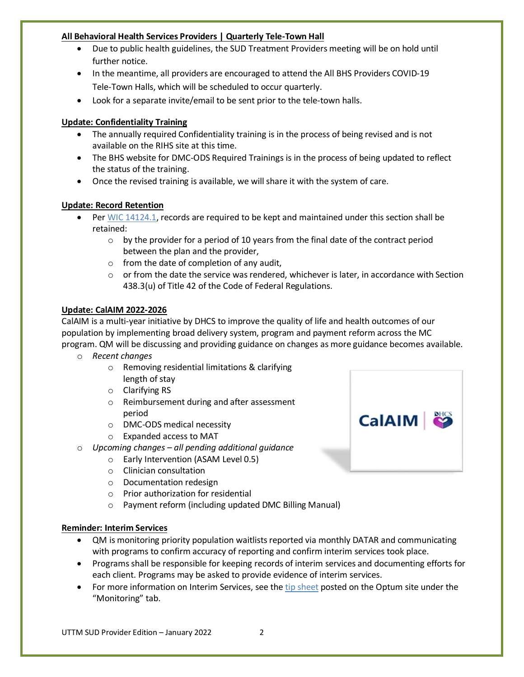#### **All Behavioral Health Services Providers | Quarterly Tele-Town Hall**

- Due to public health guidelines, the SUD Treatment Providers meeting will be on hold until further notice.
- In the meantime, all providers are encouraged to attend the All BHS Providers COVID-19 Tele-Town Halls, which will be scheduled to occur quarterly.
- Look for a separate invite/email to be sent prior to the tele-town halls.

# **Update: Confidentiality Training**

- The annually required Confidentiality training is in the process of being revised and is not available on the RIHS site at this time.
- The BHS website for DMC-ODS Required Trainings is in the process of being updated to reflect the status of the training.
- Once the revised training is available, we will share it with the system of care.

# **Update: Record Retention**

- Pe[r WIC 14124.1,](https://leginfo.legislature.ca.gov/faces/codes_displaySection.xhtml?sectionNum=14124.1.&lawCode=WIC) records are required to be kept and maintained under this section shall be retained:
	- $\circ$  by the provider for a period of 10 years from the final date of the contract period between the plan and the provider,
	- $\circ$  from the date of completion of any audit,
	- $\circ$  or from the date the service was rendered, whichever is later, in accordance with Section 438.3(u) of Title 42 of the Code of Federal Regulations.

# **Update: CalAIM 2022-2026**

CalAIM is a multi-year initiative by DHCS to improve the quality of life and health outcomes of our population by implementing broad delivery system, program and payment reform across the MC program. QM will be discussing and providing guidance on changes as more guidance becomes available.

- o *Recent changes*
	- o Removing residential limitations & clarifying length of stay
	- o Clarifying RS
	- o Reimbursement during and after assessment period
	- o DMC-ODS medical necessity
	- o Expanded access to MAT
- o *Upcoming changes – all pending additional guidance* 
	- o Early Intervention (ASAM Level 0.5)
		- o Clinician consultation
		- o Documentation redesign
		- o Prior authorization for residential
		- o Payment reform (including updated DMC Billing Manual)

# **Reminder: Interim Services**

- QM is monitoring priority population waitlists reported via monthly DATAR and communicating with programs to confirm accuracy of reporting and confirm interim services took place.
- Programs shall be responsible for keeping records of interim services and documenting efforts for each client. Programs may be asked to provide evidence of interim services.
- For more information on Interim Services, see th[e tip sheet](https://optumsandiego.com/content/dam/san-diego/documents/dmc-ods/monitoring/Interim_Services_-_updated_7-16-21.pdf) posted on the Optum site under the "Monitoring" tab.

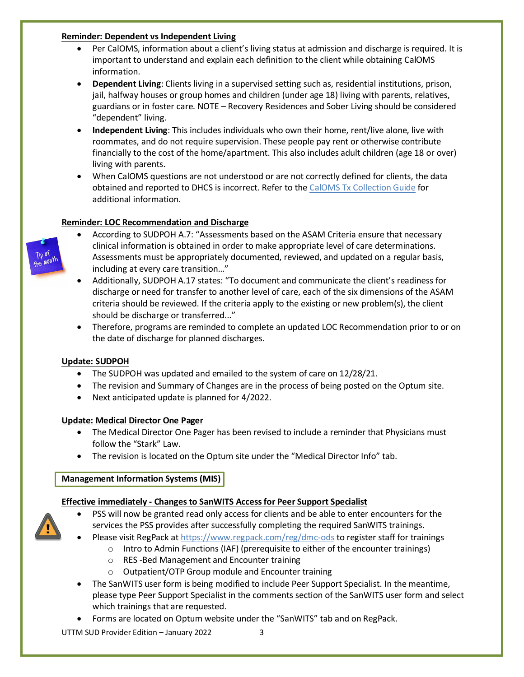#### **Reminder: Dependent vs Independent Living**

- Per CalOMS, information about a client's living status at admission and discharge is required. It is important to understand and explain each definition to the client while obtaining CalOMS information.
- **Dependent Living**: Clients living in a supervised setting such as, residential institutions, prison, jail, halfway houses or group homes and children (under age 18) living with parents, relatives, guardians or in foster care. NOTE – Recovery Residences and Sober Living should be considered "dependent" living.
- **Independent Living**: This includes individuals who own their home, rent/live alone, live with roommates, and do not require supervision. These people pay rent or otherwise contribute financially to the cost of the home/apartment. This also includes adult children (age 18 or over) living with parents.
- When CalOMS questions are not understood or are not correctly defined for clients, the data obtained and reported to DHCS is incorrect. Refer to the [CalOMS Tx Collection Guide](https://www.dhcs.ca.gov/provgovpart/Documents/CalOMS_Tx_Data_Collection_Guide_JAN%202014.pdf) for additional information.

# **Reminder: LOC Recommendation and Discharge**



- According to SUDPOH A.7: "Assessments based on the ASAM Criteria ensure that necessary clinical information is obtained in order to make appropriate level of care determinations. Assessments must be appropriately documented, reviewed, and updated on a regular basis, including at every care transition…"
- Additionally, SUDPOH A.17 states: "To document and communicate the client's readiness for discharge or need for transfer to another level of care, each of the six dimensions of the ASAM criteria should be reviewed. If the criteria apply to the existing or new problem(s), the client should be discharge or transferred..."
- Therefore, programs are reminded to complete an updated LOC Recommendation prior to or on the date of discharge for planned discharges.

# **Update: SUDPOH**

- The SUDPOH was updated and emailed to the system of care on 12/28/21.
- The revision and Summary of Changes are in the process of being posted on the Optum site.
- Next anticipated update is planned for 4/2022.

# **Update: Medical Director One Pager**

- The Medical Director One Pager has been revised to include a reminder that Physicians must follow the "Stark" Law.
- The revision is located on the Optum site under the "Medical Director Info" tab.

# **Management Information Systems (MIS)**

# **Effective immediately - Changes to SanWITS Access for Peer Support Specialist**

- PSS will now be granted read only access for clients and be able to enter encounters for the services the PSS provides after successfully completing the required SanWITS trainings.
- Please visit RegPack at<https://www.regpack.com/reg/dmc-ods> to register staff for trainings
	- $\circ$  Intro to Admin Functions (IAF) (prerequisite to either of the encounter trainings)
	- o RES -Bed Management and Encounter training
	- o Outpatient/OTP Group module and Encounter training
- The SanWITS user form is being modified to include Peer Support Specialist. In the meantime, please type Peer Support Specialist in the comments section of the SanWITS user form and select which trainings that are requested.
- Forms are located on Optum website under the "SanWITS" tab and on RegPack.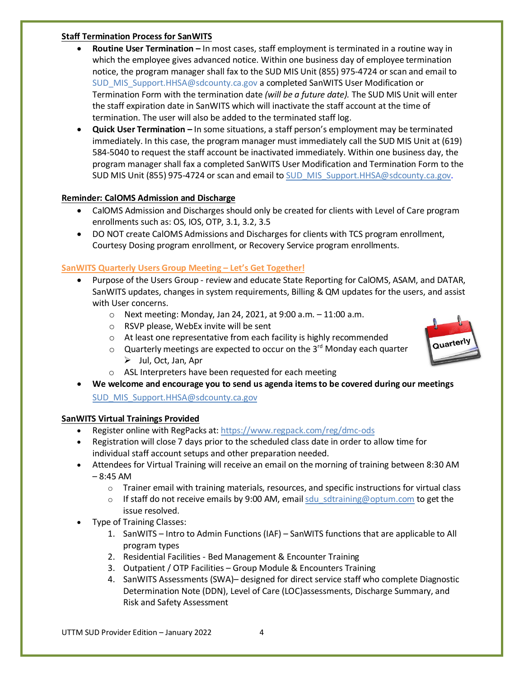#### **Staff Termination Process for SanWITS**

- **Routine User Termination –** In most cases, staff employment is terminated in a routine way in which the employee gives advanced notice. Within one business day of employee termination notice, the program manager shall fax to the SUD MIS Unit (855) 975-4724 or scan and email to [SUD\\_MIS\\_Support.HHSA@sdcounty.ca.gov](mailto:SUD_MIS_Support.HHSA@sdcounty.ca.gov) a completed SanWITS User Modification or Termination Form with the termination date *(will be a future date).* The SUD MIS Unit will enter the staff expiration date in SanWITS which will inactivate the staff account at the time of termination. The user will also be added to the terminated staff log.
- **Quick User Termination –** In some situations, a staff person's employment may be terminated immediately. In this case, the program manager must immediately call the SUD MIS Unit at (619) 584-5040 to request the staff account be inactivated immediately. Within one business day, the program manager shall fax a completed SanWITS User Modification and Termination Form to the SUD MIS Unit (855) 975-4724 or scan and email to SUD MIS Support.HHSA@sdcounty.ca.gov.

# **Reminder: CalOMS Admission and Discharge**

- CalOMS Admission and Discharges should only be created for clients with Level of Care program enrollments such as: OS, IOS, OTP, 3.1, 3.2, 3.5
- DO NOT create CalOMS Admissions and Discharges for clients with TCS program enrollment, Courtesy Dosing program enrollment, or Recovery Service program enrollments.

# **SanWITS Quarterly Users Group Meeting – Let's Get Together!**

- Purpose of the Users Group review and educate State Reporting for CalOMS, ASAM, and DATAR, SanWITS updates, changes in system requirements, Billing & QM updates for the users, and assist with User concerns.
	- o Next meeting: Monday, Jan 24, 2021, at 9:00 a.m. 11:00 a.m.
	- o RSVP please, WebEx invite will be sent
	- o At least one representative from each facility is highly recommended
	- $\circ$  Quarterly meetings are expected to occur on the 3<sup>rd</sup> Monday each quarter  $\triangleright$  Jul, Oct, Jan, Apr
	- o ASL Interpreters have been requested for each meeting
- **We welcome and encourage you to send us agenda items to be covered during our meetings** [SUD\\_MIS\\_Support.HHSA@sdcounty.ca.gov](mailto:SUD_MIS_Support.HHSA@sdcounty.ca.gov)

# **SanWITS Virtual Trainings Provided**

- Register online with RegPacks at: <https://www.regpack.com/reg/dmc-ods>
- Registration will close 7 days prior to the scheduled class date in order to allow time for individual staff account setups and other preparation needed.
- Attendees for Virtual Training will receive an email on the morning of training between 8:30 AM  $-8:45$  AM
	- $\circ$  Trainer email with training materials, resources, and specific instructions for virtual class
	- $\circ$  If staff do not receive emails by 9:00 AM, email sdu sdtraining@optum.com to get the issue resolved.
- Type of Training Classes:
	- 1. SanWITS Intro to Admin Functions (IAF) SanWITS functions that are applicable to All program types
	- 2. Residential Facilities Bed Management & Encounter Training
	- 3. Outpatient / OTP Facilities Group Module & Encounters Training
	- 4. SanWITS Assessments (SWA)– designed for direct service staff who complete Diagnostic Determination Note (DDN), Level of Care (LOC)assessments, Discharge Summary, and Risk and Safety Assessment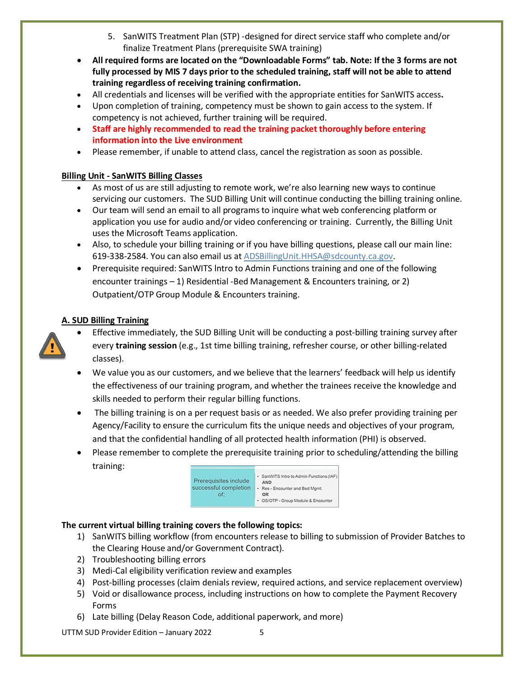- 5. SanWITS Treatment Plan (STP) -designed for direct service staff who complete and/or finalize Treatment Plans (prerequisite SWA training)
- **All required forms are located on the "Downloadable Forms" tab. Note: If the 3 forms are not fully processed by MIS 7 days prior to the scheduled training, staff will not be able to attend training regardless of receiving training confirmation.**
- All credentials and licenses will be verified with the appropriate entities for SanWITS access**.**
- Upon completion of training, competency must be shown to gain access to the system. If competency is not achieved, further training will be required.
- **Staff are highly recommended to read the training packet thoroughly before entering information into the Live environment**
- Please remember, if unable to attend class, cancel the registration as soon as possible.

# **Billing Unit - SanWITS Billing Classes**

- As most of us are still adjusting to remote work, we're also learning new ways to continue servicing our customers. The SUD Billing Unit will continue conducting the billing training online.
- Our team will send an email to all programs to inquire what web conferencing platform or application you use for audio and/or video conferencing or training. Currently, the Billing Unit uses the Microsoft Teams application.
- Also, to schedule your billing training or if you have billing questions, please call our main line: 619-338-2584. You can also email us at [ADSBillingUnit.HHSA@sdcounty.ca.gov.](mailto:ADSBillingUnit.HHSA@sdcounty.ca.gov)
- Prerequisite required: SanWITS Intro to Admin Functions training and one of the following encounter trainings – 1) Residential -Bed Management & Encounters training, or 2) Outpatient/OTP Group Module & Encounters training.

# **A. SUD Billing Training**



- Effective immediately, the SUD Billing Unit will be conducting a post-billing training survey after every **training session** (e.g., 1st time billing training, refresher course, or other billing-related classes).
- We value you as our customers, and we believe that the learners' feedback will help us identify the effectiveness of our training program, and whether the trainees receive the knowledge and skills needed to perform their regular billing functions.
- The billing training is on a per request basis or as needed. We also prefer providing training per Agency/Facility to ensure the curriculum fits the unique needs and objectives of your program, and that the confidential handling of all protected health information (PHI) is observed.
- Please remember to complete the prerequisite training prior to scheduling/attending the billing training:



# **The current virtual billing training covers the following topics:**

- 1) SanWITS billing workflow (from encounters release to billing to submission of Provider Batches to the Clearing House and/or Government Contract).
- 2) Troubleshooting billing errors
- 3) Medi-Cal eligibility verification review and examples
- 4) Post-billing processes (claim denials review, required actions, and service replacement overview)
- 5) Void or disallowance process, including instructions on how to complete the Payment Recovery Forms
- 6) Late billing (Delay Reason Code, additional paperwork, and more)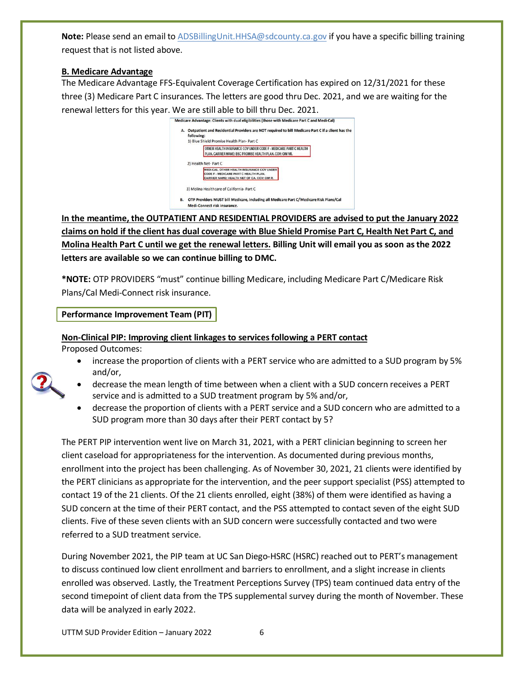**Note:** Please send an email t[o ADSBillingUnit.HHSA@sdcounty.ca.gov](mailto:ADSBillingUnit.HHSA@sdcounty.ca.gov) if you have a specific billing training request that is not listed above.

### **B. Medicare Advantage**

The Medicare Advantage FFS-Equivalent Coverage Certification has expired on 12/31/2021 for these three (3) Medicare Part C insurances. The letters are good thru Dec. 2021, and we are waiting for the renewal letters for this year. We are still able to bill thru Dec. 2021.



**In the meantime, the OUTPATIENT AND RESIDENTIAL PROVIDERS are advised to put the January 2022 claims on hold if the client has dual coverage with Blue Shield Promise Part C, Health Net Part C, and Molina Health Part C until we get the renewal letters. Billing Unit will email you as soon as the 2022 letters are available so we can continue billing to DMC.** 

**\*NOTE:** OTP PROVIDERS "must" continue billing Medicare, including Medicare Part C/Medicare Risk Plans/Cal Medi-Connect risk insurance.

# **Performance Improvement Team (PIT)**

**Non-Clinical PIP: Improving client linkages to services following a PERT contact** Proposed Outcomes:

- increase the proportion of clients with a PERT service who are admitted to a SUD program by 5% and/or,
- 
- decrease the mean length of time between when a client with a SUD concern receives a PERT service and is admitted to a SUD treatment program by 5% and/or,
- decrease the proportion of clients with a PERT service and a SUD concern who are admitted to a SUD program more than 30 days after their PERT contact by 5?

The PERT PIP intervention went live on March 31, 2021, with a PERT clinician beginning to screen her client caseload for appropriateness for the intervention. As documented during previous months, enrollment into the project has been challenging. As of November 30, 2021, 21 clients were identified by the PERT clinicians as appropriate for the intervention, and the peer support specialist (PSS) attempted to contact 19 of the 21 clients. Of the 21 clients enrolled, eight (38%) of them were identified as having a SUD concern at the time of their PERT contact, and the PSS attempted to contact seven of the eight SUD clients. Five of these seven clients with an SUD concern were successfully contacted and two were referred to a SUD treatment service.

During November 2021, the PIP team at UC San Diego-HSRC (HSRC) reached out to PERT's management to discuss continued low client enrollment and barriers to enrollment, and a slight increase in clients enrolled was observed. Lastly, the Treatment Perceptions Survey (TPS) team continued data entry of the second timepoint of client data from the TPS supplemental survey during the month of November. These data will be analyzed in early 2022.